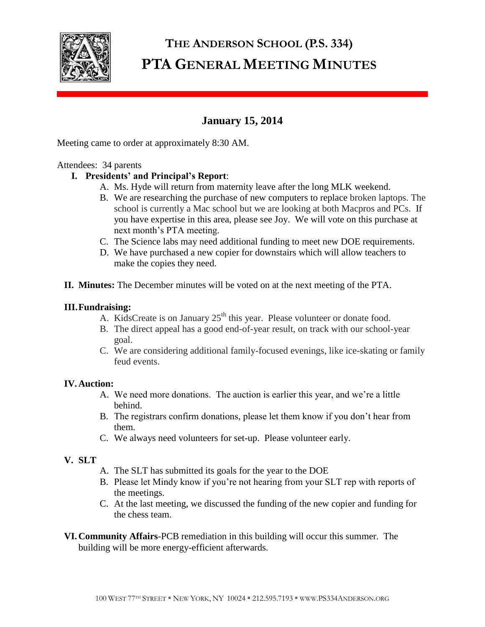

# **THE ANDERSON SCHOOL (P.S. 334) PTA GENERAL MEETING MINUTES**

# **January 15, 2014**

Meeting came to order at approximately 8:30 AM.

#### Attendees: 34 parents

## **I. Presidents' and Principal's Report**:

- A. Ms. Hyde will return from maternity leave after the long MLK weekend.
- B. We are researching the purchase of new computers to replace broken laptops. The school is currently a Mac school but we are looking at both Macpros and PCs. If you have expertise in this area, please see Joy. We will vote on this purchase at next month's PTA meeting.
- C. The Science labs may need additional funding to meet new DOE requirements.
- D. We have purchased a new copier for downstairs which will allow teachers to make the copies they need.
- **II. Minutes:** The December minutes will be voted on at the next meeting of the PTA.

#### **III.Fundraising:**

- A. KidsCreate is on January 25<sup>th</sup> this year. Please volunteer or donate food.
- B. The direct appeal has a good end-of-year result, on track with our school-year goal.
- C. We are considering additional family-focused evenings, like ice-skating or family feud events.

## **IV.Auction:**

- A. We need more donations. The auction is earlier this year, and we're a little behind.
- B. The registrars confirm donations, please let them know if you don't hear from them.
- C. We always need volunteers for set-up. Please volunteer early.

#### **V. SLT**

- A. The SLT has submitted its goals for the year to the DOE
- B. Please let Mindy know if you're not hearing from your SLT rep with reports of the meetings.
- C. At the last meeting, we discussed the funding of the new copier and funding for the chess team.
- **VI.Community Affairs**-PCB remediation in this building will occur this summer. The building will be more energy-efficient afterwards.